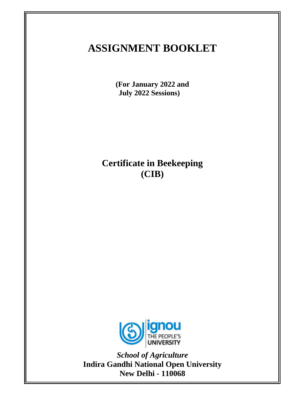# **ASSIGNMENT BOOKLET**

**(For January 2022 and July 2022 Sessions)** 

**Certificate in Beekeeping (CIB)** 



*School of Agriculture*  **Indira Gandhi National Open University New Delhi - 110068**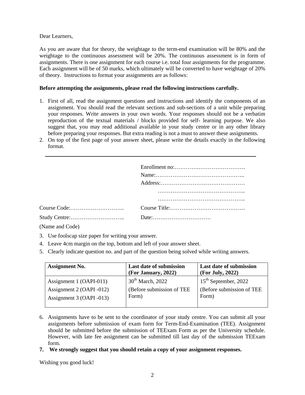Dear Learners,

As you are aware that for theory, the weightage to the term-end examination will be 80% and the weightage to the continuous assessment will be 20%. The continuous assessment is in form of assignments. There is one assignment for each course i.e. total four assignments for the programme. Each assignment will be of 50 marks, which ultimately will be converted to have weightage of 20% of theory. Instructions to format your assignments are as follows:

## **Before attempting the assignments, please read the following instructions carefully.**

- 1. First of all, read the assignment questions and instructions and identify the components of an assignment. You should read the relevant sections and sub-sections of a unit while preparing your responses. Write answers in your own words. Your responses should not be a verbatim reproduction of the textual materials / blocks provided for self- learning purpose. We also suggest that, you may read additional available in your study centre or in any other library before preparing your responses. But extra reading is not a must to answer these assignments.
- 2. On top of the first page of your answer sheet, please write the details exactly in the following format.

(Name and Code)

- 3. Use foolscap size paper for writing your answer.
- 4. Leave 4cm margin on the top, bottom and left of your answer sheet.
- 5. Clearly indicate question no. and part of the question being solved while writing answers.

| <b>Assignment No.</b>    | <b>Last date of submission</b><br>(For January, 2022) | <b>Last date of submission</b><br>(For July, 2022) |
|--------------------------|-------------------------------------------------------|----------------------------------------------------|
| Assignment 1 (OAPI-011)  | $30th$ March, 2022                                    | $15th$ September, 2022                             |
| Assignment 2 (OAPI -012) | (Before submission of TEE)                            | (Before submission of TEE                          |
| Assignment 3 (OAPI -013) | Form)                                                 | Form)                                              |

- 6. Assignments have to be sent to the coordinator of your study centre. You can submit all your assignments before submission of exam form for Term-End-Examination (TEE). Assignment should be submitted before the submission of TEExam Form as per the University schedule. However, with late fee assignment can be submitted till last day of the submission TEExam form.
- **7. We strongly suggest that you should retain a copy of your assignment responses.**

Wishing you good luck!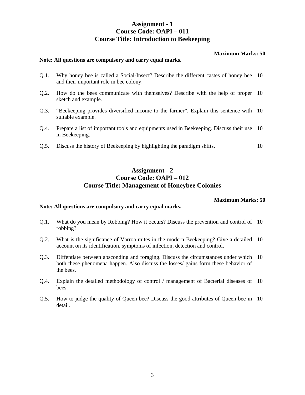## **Assignment - 1 Course Code: OAPI – 011 Course Title: Introduction to Beekeeping**

### **Maximum Marks: 50**

#### **Note: All questions are compulsory and carry equal marks.**

- Q.1. Why honey bee is called a Social-Insect? Describe the different castes of honey bee 10 and their important role in bee colony.
- Q.2. How do the bees communicate with themselves? Describe with the help of proper 10 sketch and example.
- Q.3. "Beekeeping provides diversified income to the farmer". Explain this sentence with 10 suitable example.
- Q.4. Prepare a list of important tools and equipments used in Beekeeping. Discuss their use 10 in Beekeeping.
- Q.5. Discuss the history of Beekeeping by highlighting the paradigm shifts. 10

## **Assignment - 2 Course Code: OAPI – 012 Course Title: Management of Honeybee Colonies**

#### **Maximum Marks: 50**

#### **Note: All questions are compulsory and carry equal marks.**

- Q.1. What do you mean by Robbing? How it occurs? Discuss the prevention and control of 10 robbing?
- Q.2. What is the significance of Varroa mites in the modern Beekeeping? Give a detailed 10 account on its identification, symptoms of infection, detection and control.
- Q.3. Diffentiate between absconding and foraging. Discuss the circumstances under which 10 both these phenomena happen. Also discuss the losses/ gains form these behavior of the bees.
- Q.4. Explain the detailed methodology of control / management of Bacterial diseases of 10 bees.
- Q.5. How to judge the quality of Queen bee? Discuss the good attributes of Queen bee in 10 detail.